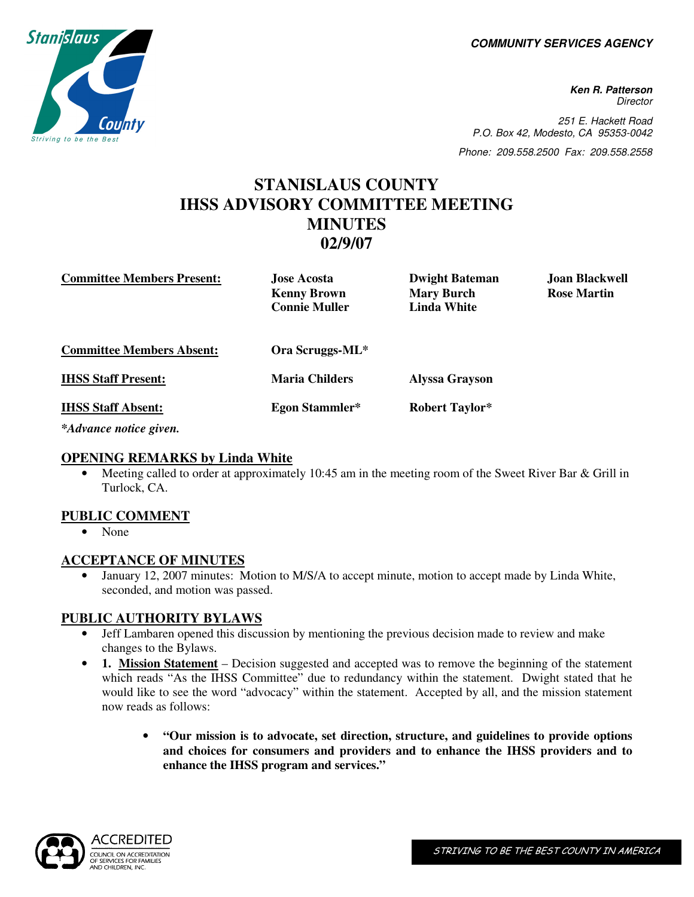**COMMUNITY SERVICES AGENCY** 

**Stanislaus** Striving to be the

**Ken R. Patterson Director** 251 E. Hackett Road P.O. Box 42, Modesto, CA 95353-0042

Phone: 209.558.2500 Fax: 209.558.2558

# **STANISLAUS COUNTY IHSS ADVISORY COMMITTEE MEETING MINUTES 02/9/07**

| <b>Committee Members Present:</b> | <b>Jose Acosta</b><br><b>Kenny Brown</b><br><b>Connie Muller</b> | <b>Dwight Bateman</b><br><b>Mary Burch</b><br><b>Linda White</b> | Joan Blackwell<br><b>Rose Martin</b> |
|-----------------------------------|------------------------------------------------------------------|------------------------------------------------------------------|--------------------------------------|
| <b>Committee Members Absent:</b>  | Ora Scruggs-ML*                                                  |                                                                  |                                      |
| <b>IHSS Staff Present:</b>        | <b>Maria Childers</b>                                            | <b>Alyssa Grayson</b>                                            |                                      |
| <b>IHSS Staff Absent:</b>         | Egon Stammler*                                                   | <b>Robert Taylor*</b>                                            |                                      |

*\*Advance notice given.* 

### **OPENING REMARKS by Linda White**

• Meeting called to order at approximately 10:45 am in the meeting room of the Sweet River Bar & Grill in Turlock, CA.

### **PUBLIC COMMENT**

• None

## **ACCEPTANCE OF MINUTES**

• January 12, 2007 minutes: Motion to M/S/A to accept minute, motion to accept made by Linda White, seconded, and motion was passed.

## **PUBLIC AUTHORITY BYLAWS**

- Jeff Lambaren opened this discussion by mentioning the previous decision made to review and make changes to the Bylaws.
- **1. Mission Statement** Decision suggested and accepted was to remove the beginning of the statement which reads "As the IHSS Committee" due to redundancy within the statement. Dwight stated that he would like to see the word "advocacy" within the statement. Accepted by all, and the mission statement now reads as follows:
	- **"Our mission is to advocate, set direction, structure, and guidelines to provide options and choices for consumers and providers and to enhance the IHSS providers and to enhance the IHSS program and services."**

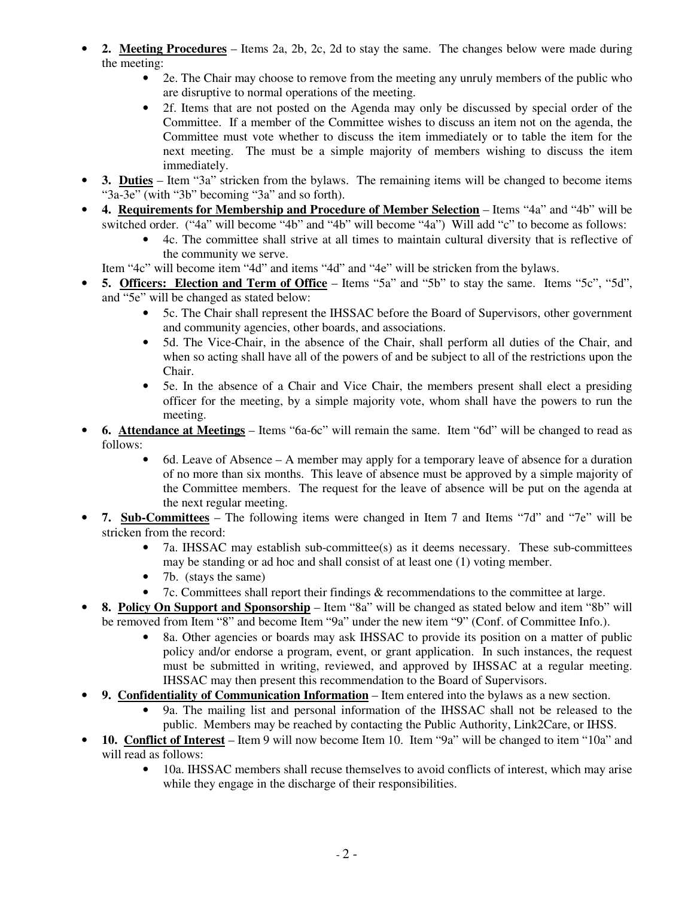- **2. Meeting Procedures** Items 2a, 2b, 2c, 2d to stay the same. The changes below were made during the meeting:
	- 2e. The Chair may choose to remove from the meeting any unruly members of the public who are disruptive to normal operations of the meeting.
	- 2f. Items that are not posted on the Agenda may only be discussed by special order of the Committee. If a member of the Committee wishes to discuss an item not on the agenda, the Committee must vote whether to discuss the item immediately or to table the item for the next meeting. The must be a simple majority of members wishing to discuss the item immediately.
- **3. Duties** Item "3a" stricken from the bylaws. The remaining items will be changed to become items "3a-3e" (with "3b" becoming "3a" and so forth).
- **4. Requirements for Membership and Procedure of Member Selection** Items "4a" and "4b" will be switched order. ("4a" will become "4b" and "4b" will become "4a") Will add "c" to become as follows:
	- 4c. The committee shall strive at all times to maintain cultural diversity that is reflective of the community we serve.

Item "4c" will become item "4d" and items "4d" and "4e" will be stricken from the bylaws.

- **5. Officers: Election and Term of Office** Items "5a" and "5b" to stay the same. Items "5c", "5d", and "5e" will be changed as stated below:
	- 5c. The Chair shall represent the IHSSAC before the Board of Supervisors, other government and community agencies, other boards, and associations.
	- 5d. The Vice-Chair, in the absence of the Chair, shall perform all duties of the Chair, and when so acting shall have all of the powers of and be subject to all of the restrictions upon the Chair.
	- 5e. In the absence of a Chair and Vice Chair, the members present shall elect a presiding officer for the meeting, by a simple majority vote, whom shall have the powers to run the meeting.
- **6. Attendance at Meetings** Items "6a-6c" will remain the same. Item "6d" will be changed to read as follows:
	- 6d. Leave of Absence A member may apply for a temporary leave of absence for a duration of no more than six months. This leave of absence must be approved by a simple majority of the Committee members. The request for the leave of absence will be put on the agenda at the next regular meeting.
- **7. Sub-Committees** The following items were changed in Item 7 and Items "7d" and "7e" will be stricken from the record:
	- 7a. IHSSAC may establish sub-committee(s) as it deems necessary. These sub-committees may be standing or ad hoc and shall consist of at least one (1) voting member.
	- 7b. (stays the same)
	- 7c. Committees shall report their findings & recommendations to the committee at large.
- **8. Policy On Support and Sponsorship** Item "8a" will be changed as stated below and item "8b" will be removed from Item "8" and become Item "9a" under the new item "9" (Conf. of Committee Info.).
	- 8a. Other agencies or boards may ask IHSSAC to provide its position on a matter of public policy and/or endorse a program, event, or grant application. In such instances, the request must be submitted in writing, reviewed, and approved by IHSSAC at a regular meeting. IHSSAC may then present this recommendation to the Board of Supervisors.
- **9. Confidentiality of Communication Information** Item entered into the bylaws as a new section.
	- 9a. The mailing list and personal information of the IHSSAC shall not be released to the public. Members may be reached by contacting the Public Authority, Link2Care, or IHSS.
- **10. Conflict of Interest** Item 9 will now become Item 10. Item "9a" will be changed to item "10a" and will read as follows:
	- 10a. IHSSAC members shall recuse themselves to avoid conflicts of interest, which may arise while they engage in the discharge of their responsibilities.